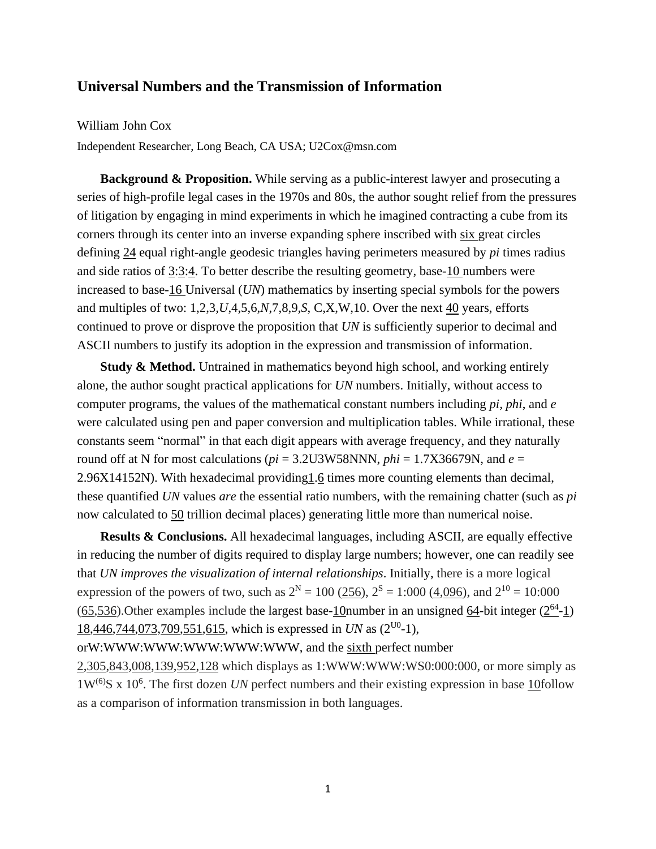## **Universal Numbers and the Transmission of Information**

## William John Cox

Independent Researcher, Long Beach, CA USA; U2Cox@msn.com

**Background & Proposition.** While serving as a public-interest lawyer and prosecuting a series of high-profile legal cases in the 1970s and 80s, the author sought relief from the pressures of litigation by engaging in mind experiments in which he imagined contracting a cube from its corners through its center into an inverse expanding sphere inscribed with six great circles defining 24 equal right-angle geodesic triangles having perimeters measured by *pi* times radius and side ratios of 3:3:4. To better describe the resulting geometry, base-10 numbers were increased to base-16 Universal (*UN*) mathematics by inserting special symbols for the powers and multiples of two: 1,2,3*,U*,4,5,6*,N*,7,8,9*,S*, C,X,W,10. Over the next 40 years, efforts continued to prove or disprove the proposition that *UN* is sufficiently superior to decimal and ASCII numbers to justify its adoption in the expression and transmission of information.

**Study & Method.** Untrained in mathematics beyond high school, and working entirely alone, the author sought practical applications for *UN* numbers. Initially, without access to computer programs, the values of the mathematical constant numbers including *pi, phi*, and *e* were calculated using pen and paper conversion and multiplication tables. While irrational, these constants seem "normal" in that each digit appears with average frequency, and they naturally round off at N for most calculations ( $pi = 3.2$ U3W58NNN,  $phi = 1.7X36679N$ , and  $e =$ 2.96X14152N). With hexadecimal providing1.6 times more counting elements than decimal, these quantified *UN* values *are* the essential ratio numbers, with the remaining chatter (such as *pi* now calculated to 50 trillion decimal places) generating little more than numerical noise.

**Results & Conclusions.** All hexadecimal languages, including ASCII, are equally effective in reducing the number of digits required to display large numbers; however, one can readily see that *UN improves the visualization of internal relationships*. Initially, there is a more logical expression of the powers of two, such as  $2^N = 100$  (256),  $2^S = 1:000$  (4,096), and  $2^{10} = 10:000$  $(65, 536)$ . Other examples include the largest base- $10$ number in an unsigned  $64$ -bit integer  $(2^{64} - 1)$ 18,446,744,073,709,551,615, which is expressed in *UN* as (2<sup>U0</sup>-1),

## orW:WWW:WWW:WWW:WWW:WWW, and the sixth perfect number

2,305,843,008,139,952,128 which displays as 1:WWW:WWW:WS0:000:000, or more simply as 1W<sup>(6)</sup>S x 10<sup>6</sup>. The first dozen *UN* perfect numbers and their existing expression in base 10follow as a comparison of information transmission in both languages.